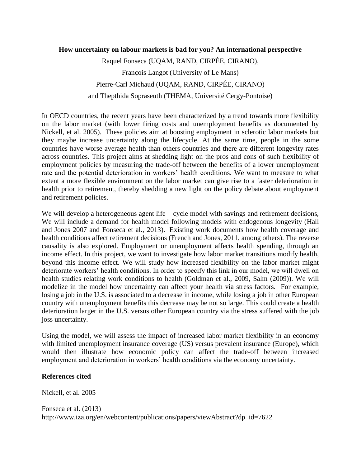## **How uncertainty on labour markets is bad for you? An international perspective**

Raquel Fonseca (UQAM, RAND, CIRPÉE, CIRANO), François Langot (University of Le Mans) Pierre-Carl Michaud (UQAM, RAND, CIRPÉE, CIRANO) and Thepthida Sopraseuth (THEMA, Université Cergy-Pontoise)

In OECD countries, the recent years have been characterized by a trend towards more flexibility on the labor market (with lower firing costs and unemployment benefits as documented by Nickell, et al. 2005). These policies aim at boosting employment in sclerotic labor markets but they maybe increase uncertainty along the lifecycle. At the same time, people in the some countries have worse average health than others countries and there are different longevity rates across countries. This project aims at shedding light on the pros and cons of such flexibility of employment policies by measuring the trade-off between the benefits of a lower unemployment rate and the potential deterioration in workers' health conditions. We want to measure to what extent a more flexible environment on the labor market can give rise to a faster deterioration in health prior to retirement, thereby shedding a new light on the policy debate about employment and retirement policies.

We will develop a heterogeneous agent life – cycle model with savings and retirement decisions, We will include a demand for health model following models with endogenous longevity (Hall and Jones 2007 and Fonseca et al., 2013). Existing work documents how health coverage and health conditions affect retirement decisions (French and Jones, 2011, among others). The reverse causality is also explored. Employment or unemployment affects health spending, through an income effect. In this project, we want to investigate how labor market transitions modify health, beyond this income effect. We will study how increased flexibility on the labor market might deteriorate workers' health conditions. In order to specify this link in our model, we will dwell on health studies relating work conditions to health (Goldman et al., 2009, Salm (2009)). We will modelize in the model how uncertainty can affect your health via stress factors. For example, losing a job in the U.S. is associated to a decrease in income, while losing a job in other European country with unemployment benefits this decrease may be not so large. This could create a health deterioration larger in the U.S. versus other European country via the stress suffered with the job joss uncertainty.

Using the model, we will assess the impact of increased labor market flexibility in an economy with limited unemployment insurance coverage (US) versus prevalent insurance (Europe), which would then illustrate how economic policy can affect the trade-off between increased employment and deterioration in workers' health conditions via the economy uncertainty.

## **References cited**

Nickell, et al. 2005

Fonseca et al. (2013) http://www.iza.org/en/webcontent/publications/papers/viewAbstract?dp\_id=7622